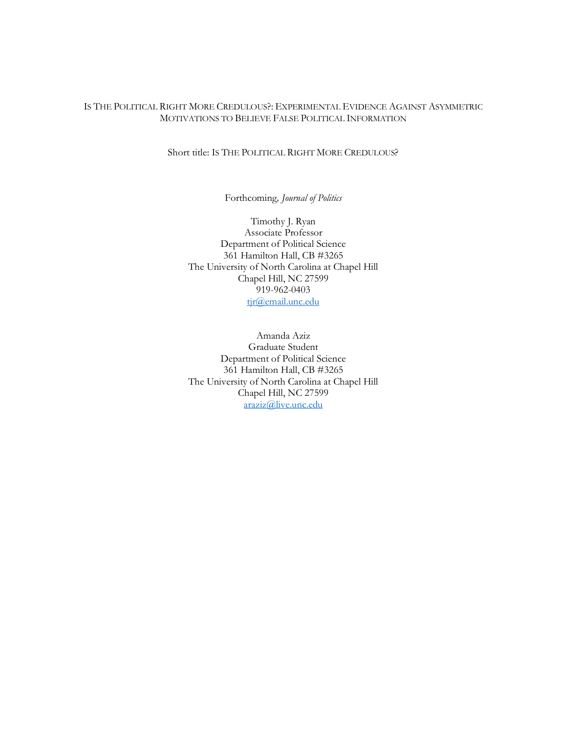# IS THE POLITICAL RIGHT MORE CREDULOUS?: EXPERIMENTAL EVIDENCE AGAINST ASYMMETRIC MOTIVATIONS TO BELIEVE FALSE POLITICAL INFORMATION

## Short title: IS THE POLITICAL RIGHT MORE CREDULOUS?

Forthcoming*, Journal of Politics*

Timothy J. Ryan Associate Professor Department of Political Science 361 Hamilton Hall, CB #3265 The University of North Carolina at Chapel Hill Chapel Hill, NC 27599 919-962-0403 tjr@email.unc.edu

Amanda Aziz Graduate Student Department of Political Science 361 Hamilton Hall, CB #3265 The University of North Carolina at Chapel Hill Chapel Hill, NC 27599 araziz@live.unc.edu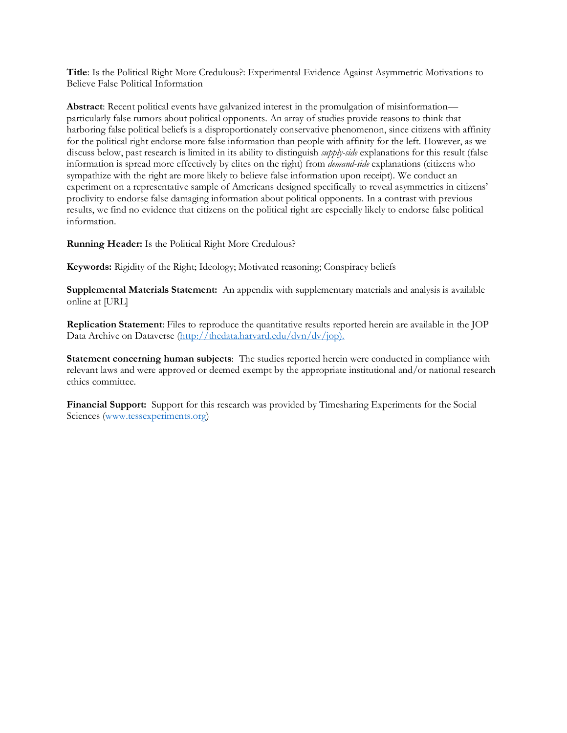**Title**: Is the Political Right More Credulous?: Experimental Evidence Against Asymmetric Motivations to Believe False Political Information

**Abstract**: Recent political events have galvanized interest in the promulgation of misinformation particularly false rumors about political opponents. An array of studies provide reasons to think that harboring false political beliefs is a disproportionately conservative phenomenon, since citizens with affinity for the political right endorse more false information than people with affinity for the left. However, as we discuss below, past research is limited in its ability to distinguish *supply-side* explanations for this result (false information is spread more effectively by elites on the right) from *demand-side* explanations (citizens who sympathize with the right are more likely to believe false information upon receipt). We conduct an experiment on a representative sample of Americans designed specifically to reveal asymmetries in citizens' proclivity to endorse false damaging information about political opponents. In a contrast with previous results, we find no evidence that citizens on the political right are especially likely to endorse false political information.

**Running Header:** Is the Political Right More Credulous?

**Keywords:** Rigidity of the Right; Ideology; Motivated reasoning; Conspiracy beliefs

**Supplemental Materials Statement:** An appendix with supplementary materials and analysis is available online at [URL]

**Replication Statement**: Files to reproduce the quantitative results reported herein are available in the JOP Data Archive on Dataverse (http://thedata.harvard.edu/dvn/dv/jop).

**Statement concerning human subjects**: The studies reported herein were conducted in compliance with relevant laws and were approved or deemed exempt by the appropriate institutional and/or national research ethics committee.

**Financial Support:** Support for this research was provided by Timesharing Experiments for the Social Sciences (www.tessexperiments.org)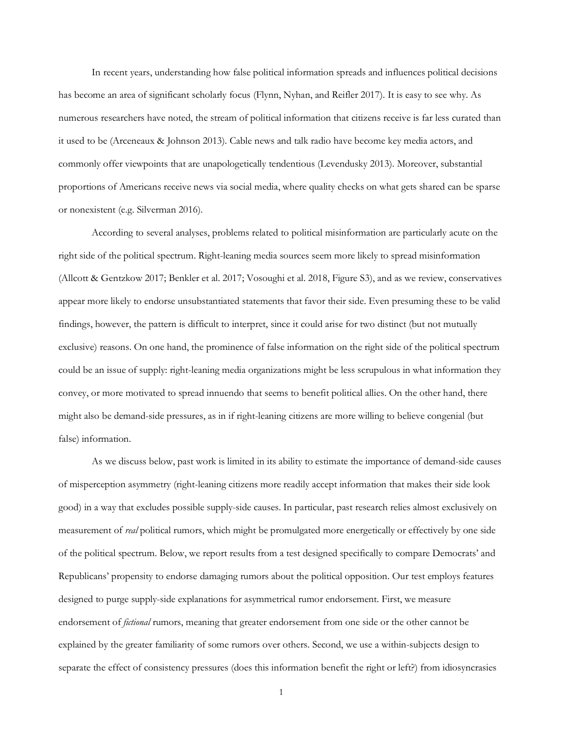In recent years, understanding how false political information spreads and influences political decisions has become an area of significant scholarly focus (Flynn, Nyhan, and Reifler 2017). It is easy to see why. As numerous researchers have noted, the stream of political information that citizens receive is far less curated than it used to be (Arceneaux & Johnson 2013). Cable news and talk radio have become key media actors, and commonly offer viewpoints that are unapologetically tendentious (Levendusky 2013). Moreover, substantial proportions of Americans receive news via social media, where quality checks on what gets shared can be sparse or nonexistent (e.g. Silverman 2016).

According to several analyses, problems related to political misinformation are particularly acute on the right side of the political spectrum. Right-leaning media sources seem more likely to spread misinformation (Allcott & Gentzkow 2017; Benkler et al. 2017; Vosoughi et al. 2018, Figure S3), and as we review, conservatives appear more likely to endorse unsubstantiated statements that favor their side. Even presuming these to be valid findings, however, the pattern is difficult to interpret, since it could arise for two distinct (but not mutually exclusive) reasons. On one hand, the prominence of false information on the right side of the political spectrum could be an issue of supply: right-leaning media organizations might be less scrupulous in what information they convey, or more motivated to spread innuendo that seems to benefit political allies. On the other hand, there might also be demand-side pressures, as in if right-leaning citizens are more willing to believe congenial (but false) information.

As we discuss below, past work is limited in its ability to estimate the importance of demand-side causes of misperception asymmetry (right-leaning citizens more readily accept information that makes their side look good) in a way that excludes possible supply-side causes. In particular, past research relies almost exclusively on measurement of *real* political rumors, which might be promulgated more energetically or effectively by one side of the political spectrum. Below, we report results from a test designed specifically to compare Democrats' and Republicans' propensity to endorse damaging rumors about the political opposition. Our test employs features designed to purge supply-side explanations for asymmetrical rumor endorsement. First, we measure endorsement of *fictional* rumors, meaning that greater endorsement from one side or the other cannot be explained by the greater familiarity of some rumors over others. Second, we use a within-subjects design to separate the effect of consistency pressures (does this information benefit the right or left?) from idiosyncrasies

1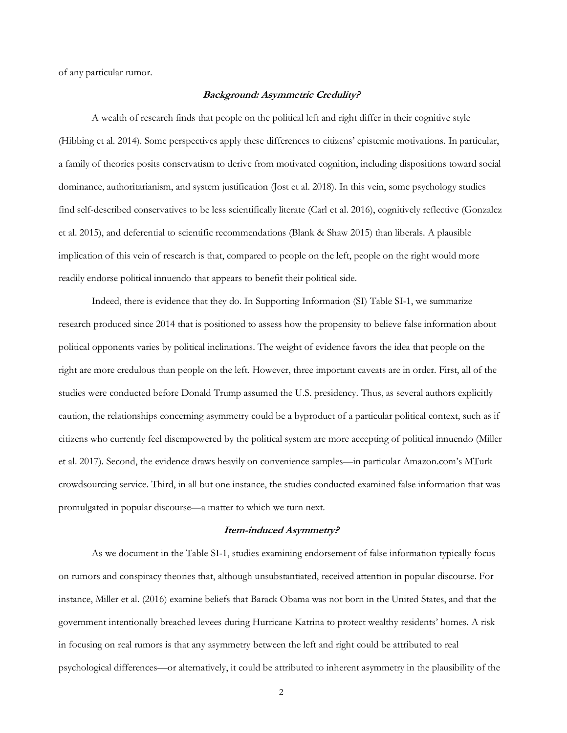of any particular rumor.

### **Background: Asymmetric Credulity?**

A wealth of research finds that people on the political left and right differ in their cognitive style (Hibbing et al. 2014). Some perspectives apply these differences to citizens' epistemic motivations. In particular, a family of theories posits conservatism to derive from motivated cognition, including dispositions toward social dominance, authoritarianism, and system justification (Jost et al. 2018). In this vein, some psychology studies find self-described conservatives to be less scientifically literate (Carl et al. 2016), cognitively reflective (Gonzalez et al. 2015), and deferential to scientific recommendations (Blank & Shaw 2015) than liberals. A plausible implication of this vein of research is that, compared to people on the left, people on the right would more readily endorse political innuendo that appears to benefit their political side.

Indeed, there is evidence that they do. In Supporting Information (SI) Table SI-1, we summarize research produced since 2014 that is positioned to assess how the propensity to believe false information about political opponents varies by political inclinations. The weight of evidence favors the idea that people on the right are more credulous than people on the left. However, three important caveats are in order. First, all of the studies were conducted before Donald Trump assumed the U.S. presidency. Thus, as several authors explicitly caution, the relationships concerning asymmetry could be a byproduct of a particular political context, such as if citizens who currently feel disempowered by the political system are more accepting of political innuendo (Miller et al. 2017). Second, the evidence draws heavily on convenience samples—in particular Amazon.com's MTurk crowdsourcing service. Third, in all but one instance, the studies conducted examined false information that was promulgated in popular discourse—a matter to which we turn next.

#### **Item-induced Asymmetry?**

As we document in the Table SI-1, studies examining endorsement of false information typically focus on rumors and conspiracy theories that, although unsubstantiated, received attention in popular discourse. For instance, Miller et al. (2016) examine beliefs that Barack Obama was not born in the United States, and that the government intentionally breached levees during Hurricane Katrina to protect wealthy residents' homes. A risk in focusing on real rumors is that any asymmetry between the left and right could be attributed to real psychological differences—or alternatively, it could be attributed to inherent asymmetry in the plausibility of the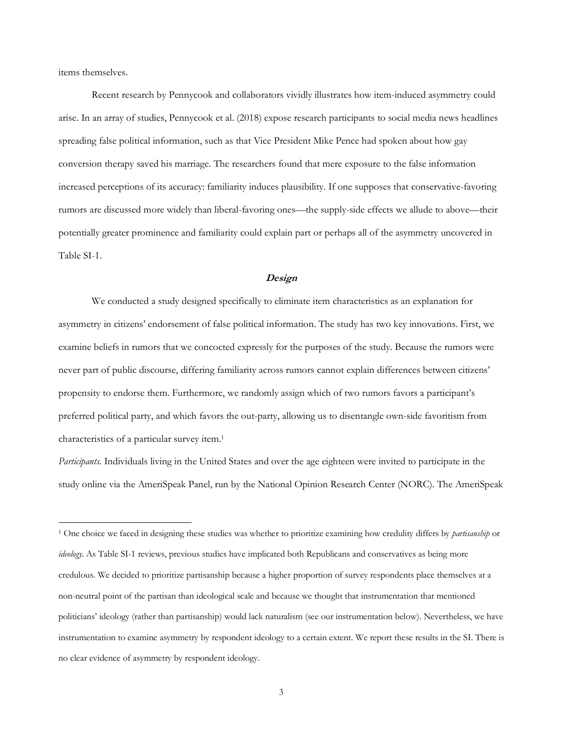items themselves.

Recent research by Pennycook and collaborators vividly illustrates how item-induced asymmetry could arise. In an array of studies, Pennycook et al. (2018) expose research participants to social media news headlines spreading false political information, such as that Vice President Mike Pence had spoken about how gay conversion therapy saved his marriage. The researchers found that mere exposure to the false information increased perceptions of its accuracy: familiarity induces plausibility. If one supposes that conservative-favoring rumors are discussed more widely than liberal-favoring ones—the supply-side effects we allude to above—their potentially greater prominence and familiarity could explain part or perhaps all of the asymmetry uncovered in Table SI-1.

### **Design**

We conducted a study designed specifically to eliminate item characteristics as an explanation for asymmetry in citizens' endorsement of false political information. The study has two key innovations. First, we examine beliefs in rumors that we concocted expressly for the purposes of the study. Because the rumors were never part of public discourse, differing familiarity across rumors cannot explain differences between citizens' propensity to endorse them. Furthermore, we randomly assign which of two rumors favors a participant's preferred political party, and which favors the out-party, allowing us to disentangle own-side favoritism from characteristics of a particular survey item.1

*Participants*. Individuals living in the United States and over the age eighteen were invited to participate in the study online via the AmeriSpeak Panel, run by the National Opinion Research Center (NORC). The AmeriSpeak

 <sup>1</sup> One choice we faced in designing these studies was whether to prioritize examining how credulity differs by *partisanship* or *ideology*. As Table SI-1 reviews, previous studies have implicated both Republicans and conservatives as being more credulous. We decided to prioritize partisanship because a higher proportion of survey respondents place themselves at a non-neutral point of the partisan than ideological scale and because we thought that instrumentation that mentioned politicians' ideology (rather than partisanship) would lack naturalism (see our instrumentation below). Nevertheless, we have instrumentation to examine asymmetry by respondent ideology to a certain extent. We report these results in the SI. There is no clear evidence of asymmetry by respondent ideology.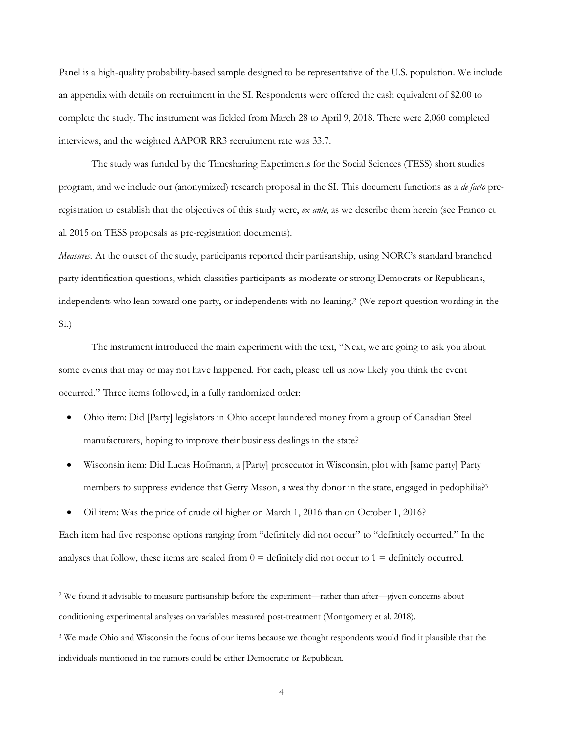Panel is a high-quality probability-based sample designed to be representative of the U.S. population. We include an appendix with details on recruitment in the SI. Respondents were offered the cash equivalent of \$2.00 to complete the study. The instrument was fielded from March 28 to April 9, 2018. There were 2,060 completed interviews, and the weighted AAPOR RR3 recruitment rate was 33.7.

The study was funded by the Timesharing Experiments for the Social Sciences (TESS) short studies program, and we include our (anonymized) research proposal in the SI. This document functions as a *de facto* preregistration to establish that the objectives of this study were, *ex ante*, as we describe them herein (see Franco et al. 2015 on TESS proposals as pre-registration documents).

*Measures*. At the outset of the study, participants reported their partisanship, using NORC's standard branched party identification questions, which classifies participants as moderate or strong Democrats or Republicans, independents who lean toward one party, or independents with no leaning. <sup>2</sup> (We report question wording in the SI.)

The instrument introduced the main experiment with the text, "Next, we are going to ask you about some events that may or may not have happened. For each, please tell us how likely you think the event occurred." Three items followed, in a fully randomized order:

- Ohio item: Did [Party] legislators in Ohio accept laundered money from a group of Canadian Steel manufacturers, hoping to improve their business dealings in the state?
- Wisconsin item: Did Lucas Hofmann, a [Party] prosecutor in Wisconsin, plot with [same party] Party members to suppress evidence that Gerry Mason, a wealthy donor in the state, engaged in pedophilia?<sup>3</sup>
- Oil item: Was the price of crude oil higher on March 1, 2016 than on October 1, 2016?

Each item had five response options ranging from "definitely did not occur" to "definitely occurred." In the analyses that follow, these items are scaled from  $0 =$  definitely did not occur to  $1 =$  definitely occurred.

 <sup>2</sup> We found it advisable to measure partisanship before the experiment—rather than after—given concerns about conditioning experimental analyses on variables measured post-treatment (Montgomery et al. 2018).

<sup>3</sup> We made Ohio and Wisconsin the focus of our items because we thought respondents would find it plausible that the individuals mentioned in the rumors could be either Democratic or Republican.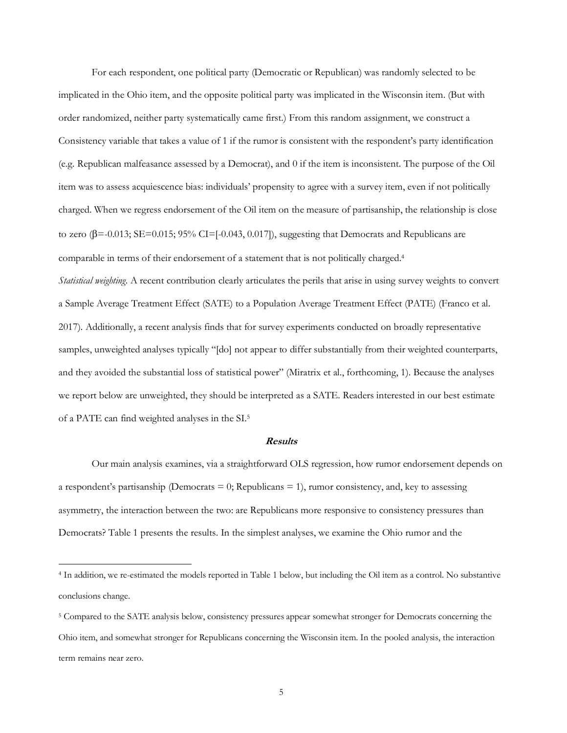For each respondent, one political party (Democratic or Republican) was randomly selected to be implicated in the Ohio item, and the opposite political party was implicated in the Wisconsin item. (But with order randomized, neither party systematically came first.) From this random assignment, we construct a Consistency variable that takes a value of 1 if the rumor is consistent with the respondent's party identification (e.g. Republican malfeasance assessed by a Democrat), and 0 if the item is inconsistent. The purpose of the Oil item was to assess acquiescence bias: individuals' propensity to agree with a survey item, even if not politically charged. When we regress endorsement of the Oil item on the measure of partisanship, the relationship is close to zero  $(\beta = -0.013; SE = 0.015; 95\% CI = [-0.043, 0.017])$ , suggesting that Democrats and Republicans are comparable in terms of their endorsement of a statement that is not politically charged.4 *Statistical weighting*. A recent contribution clearly articulates the perils that arise in using survey weights to convert a Sample Average Treatment Effect (SATE) to a Population Average Treatment Effect (PATE) (Franco et al. 2017). Additionally, a recent analysis finds that for survey experiments conducted on broadly representative samples, unweighted analyses typically "[do] not appear to differ substantially from their weighted counterparts, and they avoided the substantial loss of statistical power" (Miratrix et al., forthcoming, 1). Because the analyses we report below are unweighted, they should be interpreted as a SATE. Readers interested in our best estimate of a PATE can find weighted analyses in the SI.5

#### **Results**

Our main analysis examines, via a straightforward OLS regression, how rumor endorsement depends on a respondent's partisanship (Democrats  $= 0$ ; Republicans  $= 1$ ), rumor consistency, and, key to assessing asymmetry, the interaction between the two: are Republicans more responsive to consistency pressures than Democrats? Table 1 presents the results. In the simplest analyses, we examine the Ohio rumor and the

 <sup>4</sup> In addition, we re-estimated the models reported in Table 1 below, but including the Oil item as a control. No substantive conclusions change.

<sup>5</sup> Compared to the SATE analysis below, consistency pressures appear somewhat stronger for Democrats concerning the Ohio item, and somewhat stronger for Republicans concerning the Wisconsin item. In the pooled analysis, the interaction term remains near zero.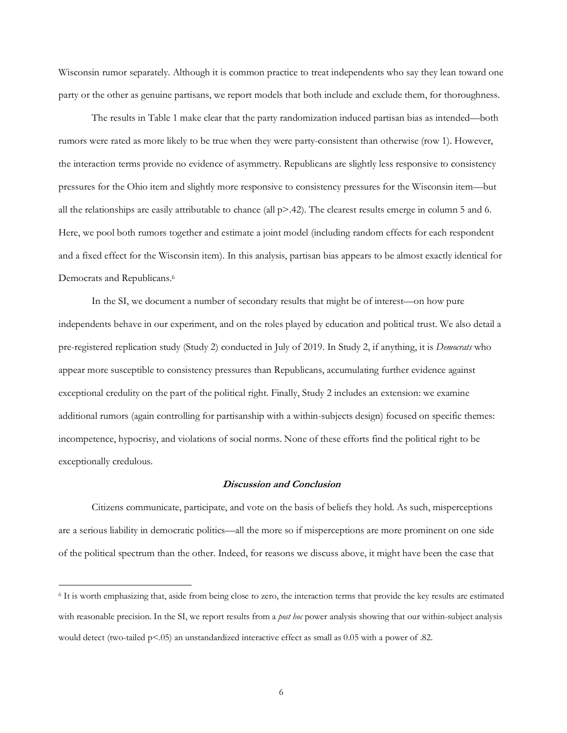Wisconsin rumor separately. Although it is common practice to treat independents who say they lean toward one party or the other as genuine partisans, we report models that both include and exclude them, for thoroughness.

The results in Table 1 make clear that the party randomization induced partisan bias as intended—both rumors were rated as more likely to be true when they were party-consistent than otherwise (row 1). However, the interaction terms provide no evidence of asymmetry. Republicans are slightly less responsive to consistency pressures for the Ohio item and slightly more responsive to consistency pressures for the Wisconsin item—but all the relationships are easily attributable to chance (all  $p > .42$ ). The clearest results emerge in column 5 and 6. Here, we pool both rumors together and estimate a joint model (including random effects for each respondent and a fixed effect for the Wisconsin item). In this analysis, partisan bias appears to be almost exactly identical for Democrats and Republicans.<sup>6</sup>

In the SI, we document a number of secondary results that might be of interest—on how pure independents behave in our experiment, and on the roles played by education and political trust. We also detail a pre-registered replication study (Study 2) conducted in July of 2019. In Study 2, if anything, it is *Democrats* who appear more susceptible to consistency pressures than Republicans, accumulating further evidence against exceptional credulity on the part of the political right. Finally, Study 2 includes an extension: we examine additional rumors (again controlling for partisanship with a within-subjects design) focused on specific themes: incompetence, hypocrisy, and violations of social norms. None of these efforts find the political right to be exceptionally credulous.

## **Discussion and Conclusion**

Citizens communicate, participate, and vote on the basis of beliefs they hold. As such, misperceptions are a serious liability in democratic politics—all the more so if misperceptions are more prominent on one side of the political spectrum than the other. Indeed, for reasons we discuss above, it might have been the case that

 <sup>6</sup> It is worth emphasizing that, aside from being close to zero, the interaction terms that provide the key results are estimated with reasonable precision. In the SI, we report results from a *post hoc* power analysis showing that our within-subject analysis would detect (two-tailed p<.05) an unstandardized interactive effect as small as 0.05 with a power of .82.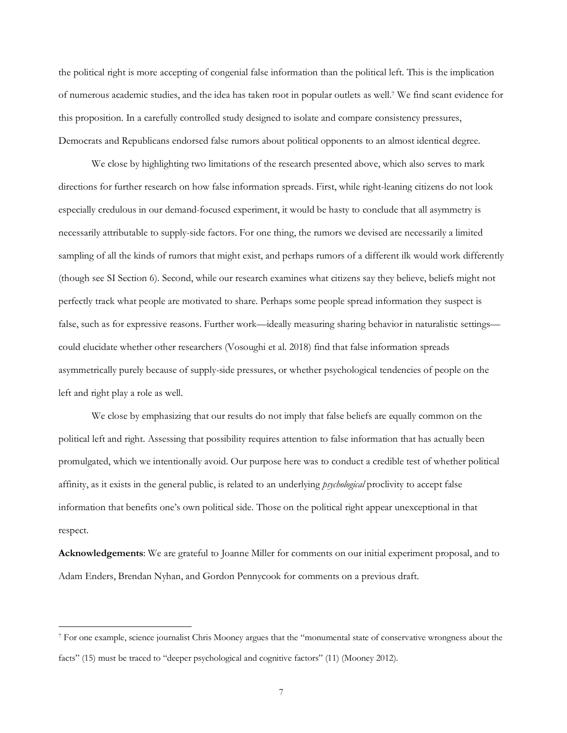the political right is more accepting of congenial false information than the political left. This is the implication of numerous academic studies, and the idea has taken root in popular outlets as well.7 We find scant evidence for this proposition. In a carefully controlled study designed to isolate and compare consistency pressures, Democrats and Republicans endorsed false rumors about political opponents to an almost identical degree.

We close by highlighting two limitations of the research presented above, which also serves to mark directions for further research on how false information spreads. First, while right-leaning citizens do not look especially credulous in our demand-focused experiment, it would be hasty to conclude that all asymmetry is necessarily attributable to supply-side factors. For one thing, the rumors we devised are necessarily a limited sampling of all the kinds of rumors that might exist, and perhaps rumors of a different ilk would work differently (though see SI Section 6). Second, while our research examines what citizens say they believe, beliefs might not perfectly track what people are motivated to share. Perhaps some people spread information they suspect is false, such as for expressive reasons. Further work—ideally measuring sharing behavior in naturalistic settings could elucidate whether other researchers (Vosoughi et al. 2018) find that false information spreads asymmetrically purely because of supply-side pressures, or whether psychological tendencies of people on the left and right play a role as well.

We close by emphasizing that our results do not imply that false beliefs are equally common on the political left and right. Assessing that possibility requires attention to false information that has actually been promulgated, which we intentionally avoid. Our purpose here was to conduct a credible test of whether political affinity, as it exists in the general public, is related to an underlying *psychological* proclivity to accept false information that benefits one's own political side. Those on the political right appear unexceptional in that respect.

**Acknowledgements**: We are grateful to Joanne Miller for comments on our initial experiment proposal, and to Adam Enders, Brendan Nyhan, and Gordon Pennycook for comments on a previous draft.

 <sup>7</sup> For one example, science journalist Chris Mooney argues that the "monumental state of conservative wrongness about the facts" (15) must be traced to "deeper psychological and cognitive factors" (11) (Mooney 2012).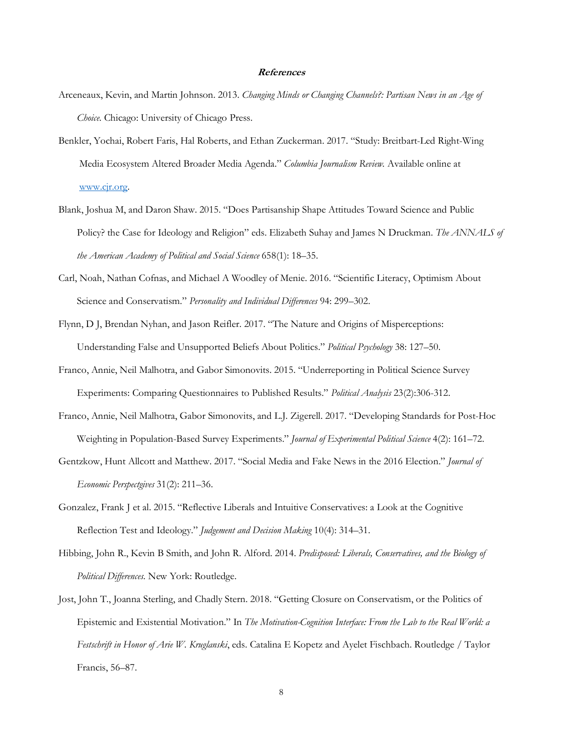## **References**

- Arceneaux, Kevin, and Martin Johnson. 2013. *Changing Minds or Changing Channels?: Partisan News in an Age of Choice*. Chicago: University of Chicago Press.
- Benkler, Yochai, Robert Faris, Hal Roberts, and Ethan Zuckerman. 2017. "Study: Breitbart-Led Right-Wing Media Ecosystem Altered Broader Media Agenda." *Columbia Journalism Review.* Available online at www.cjr.org.
- Blank, Joshua M, and Daron Shaw. 2015. "Does Partisanship Shape Attitudes Toward Science and Public Policy? the Case for Ideology and Religion" eds. Elizabeth Suhay and James N Druckman. *The ANNALS of the American Academy of Political and Social Science* 658(1): 18–35.
- Carl, Noah, Nathan Cofnas, and Michael A Woodley of Menie. 2016. "Scientific Literacy, Optimism About Science and Conservatism." *Personality and Individual Differences* 94: 299–302.
- Flynn, D J, Brendan Nyhan, and Jason Reifler. 2017. "The Nature and Origins of Misperceptions: Understanding False and Unsupported Beliefs About Politics." *Political Psychology* 38: 127–50.
- Franco, Annie, Neil Malhotra, and Gabor Simonovits. 2015. "Underreporting in Political Science Survey Experiments: Comparing Questionnaires to Published Results." *Political Analysis* 23(2):306-312.
- Franco, Annie, Neil Malhotra, Gabor Simonovits, and L.J. Zigerell. 2017. "Developing Standards for Post-Hoc Weighting in Population-Based Survey Experiments." *Journal of Experimental Political Science* 4(2): 161–72.
- Gentzkow, Hunt Allcott and Matthew. 2017. "Social Media and Fake News in the 2016 Election." *Journal of Economic Perspectgives* 31(2): 211–36.
- Gonzalez, Frank J et al. 2015. "Reflective Liberals and Intuitive Conservatives: a Look at the Cognitive Reflection Test and Ideology." *Judgement and Decision Making* 10(4): 314–31.
- Hibbing, John R., Kevin B Smith, and John R. Alford. 2014. *Predisposed: Liberals, Conservatives, and the Biology of Political Differences*. New York: Routledge.
- Jost, John T., Joanna Sterling, and Chadly Stern. 2018. "Getting Closure on Conservatism, or the Politics of Epistemic and Existential Motivation." In *The Motivation-Cognition Interface: From the Lab to the Real World: a Festschrift in Honor of Arie W. Kruglanski*, eds. Catalina E Kopetz and Ayelet Fischbach. Routledge / Taylor Francis, 56–87.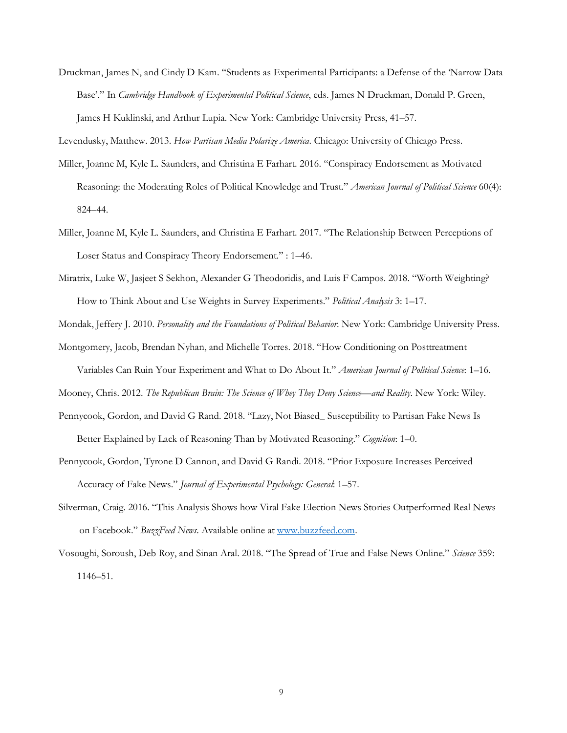Druckman, James N, and Cindy D Kam. "Students as Experimental Participants: a Defense of the 'Narrow Data Base'." In *Cambridge Handbook of Experimental Political Science*, eds. James N Druckman, Donald P. Green, James H Kuklinski, and Arthur Lupia. New York: Cambridge University Press, 41–57.

Levendusky, Matthew. 2013. *How Partisan Media Polarize America*. Chicago: University of Chicago Press.

- Miller, Joanne M, Kyle L. Saunders, and Christina E Farhart. 2016. "Conspiracy Endorsement as Motivated Reasoning: the Moderating Roles of Political Knowledge and Trust." *American Journal of Political Science* 60(4): 824–44.
- Miller, Joanne M, Kyle L. Saunders, and Christina E Farhart. 2017. "The Relationship Between Perceptions of Loser Status and Conspiracy Theory Endorsement." : 1–46.
- Miratrix, Luke W, Jasjeet S Sekhon, Alexander G Theodoridis, and Luis F Campos. 2018. "Worth Weighting? How to Think About and Use Weights in Survey Experiments." *Political Analysis* 3: 1–17.

Mondak, Jeffery J. 2010. *Personality and the Foundations of Political Behavior*. New York: Cambridge University Press.

Montgomery, Jacob, Brendan Nyhan, and Michelle Torres. 2018. "How Conditioning on Posttreatment

Variables Can Ruin Your Experiment and What to Do About It." *American Journal of Political Science*: 1–16.

Mooney, Chris. 2012. *The Republican Brain: The Science of Whey They Deny Science—and Reality*. New York: Wiley.

- Pennycook, Gordon, and David G Rand. 2018. "Lazy, Not Biased\_ Susceptibility to Partisan Fake News Is Better Explained by Lack of Reasoning Than by Motivated Reasoning." *Cognition*: 1–0.
- Pennycook, Gordon, Tyrone D Cannon, and David G Randi. 2018. "Prior Exposure Increases Perceived Accuracy of Fake News." *Journal of Experimental Psychology: General*: 1–57.
- Silverman, Craig. 2016. "This Analysis Shows how Viral Fake Election News Stories Outperformed Real News on Facebook." *BuzzFeed News*. Available online at www.buzzfeed.com.
- Vosoughi, Soroush, Deb Roy, and Sinan Aral. 2018. "The Spread of True and False News Online." *Science* 359: 1146–51.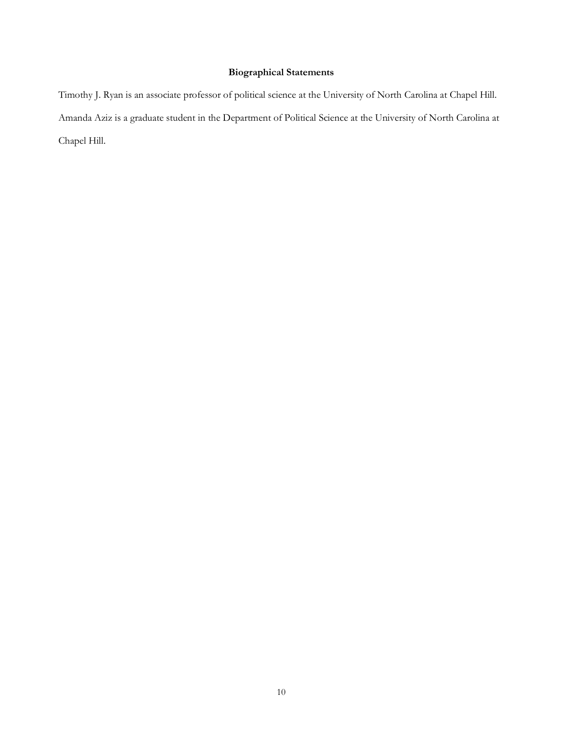# **Biographical Statements**

Timothy J. Ryan is an associate professor of political science at the University of North Carolina at Chapel Hill. Amanda Aziz is a graduate student in the Department of Political Science at the University of North Carolina at Chapel Hill.